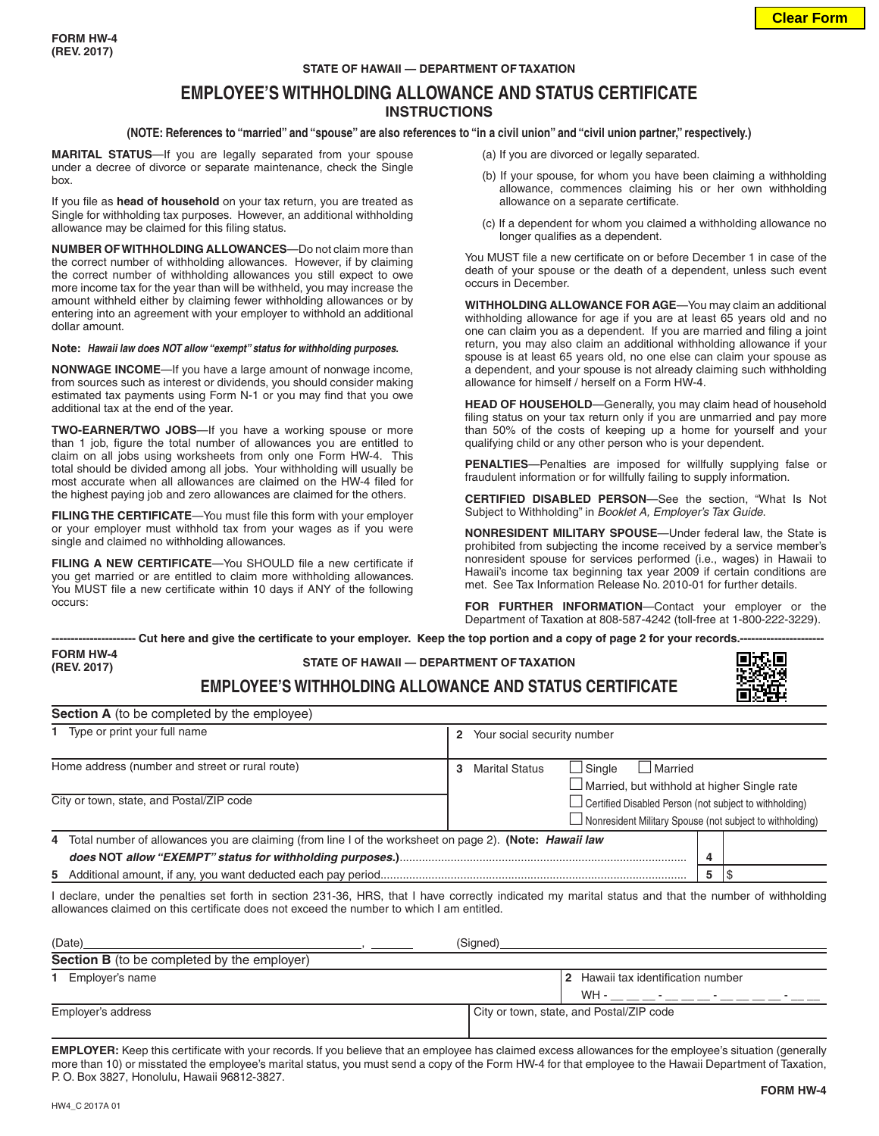### **STATE OF HAWAII — DEPARTMENT OF TAXATION**

## **EMPLOYEE'S WITHHOLDING ALLOWANCE AND STATUS CERTIFICATE INSTRUCTIONS**

### **(NOTE: References to "married" and "spouse" are also references to "in a civil union" and "civil union partner," respectively.)**

**MARITAL STATUS**—If you are legally separated from your spouse under a decree of divorce or separate maintenance, check the Single box.

If you file as **head of household** on your tax return, you are treated as Single for withholding tax purposes. However, an additional withholding allowance may be claimed for this filing status.

**NUMBER OF WITHHOLDING ALLOWANCES**—Do not claim more than the correct number of withholding allowances. However, if by claiming the correct number of withholding allowances you still expect to owe more income tax for the year than will be withheld, you may increase the amount withheld either by claiming fewer withholding allowances or by entering into an agreement with your employer to withhold an additional dollar amount.

#### **Note:** *Hawaii law does NOT allow "exempt" status for withholding purposes.*

**NONWAGE INCOME**—If you have a large amount of nonwage income, from sources such as interest or dividends, you should consider making estimated tax payments using Form N-1 or you may find that you owe additional tax at the end of the year.

**TWO-EARNER/TWO JOBS**—If you have a working spouse or more than 1 job, figure the total number of allowances you are entitled to claim on all jobs using worksheets from only one Form HW-4. This total should be divided among all jobs. Your withholding will usually be most accurate when all allowances are claimed on the HW-4 filed for the highest paying job and zero allowances are claimed for the others.

**FILING THE CERTIFICATE**—You must file this form with your employer or your employer must withhold tax from your wages as if you were single and claimed no withholding allowances.

**FILING A NEW CERTIFICATE**—You SHOULD file a new certificate if you get married or are entitled to claim more withholding allowances. You MUST file a new certificate within 10 days if ANY of the following occurs:

- (a) If you are divorced or legally separated.
- (b) If your spouse, for whom you have been claiming a withholding allowance, commences claiming his or her own withholding allowance on a separate certificate.
- (c) If a dependent for whom you claimed a withholding allowance no longer qualifies as a dependent.

You MUST file a new certificate on or before December 1 in case of the death of your spouse or the death of a dependent, unless such event occurs in December.

**WITHHOLDING ALLOWANCE FOR AGE**—You may claim an additional withholding allowance for age if you are at least 65 years old and no one can claim you as a dependent. If you are married and filing a joint return, you may also claim an additional withholding allowance if your spouse is at least 65 years old, no one else can claim your spouse as a dependent, and your spouse is not already claiming such withholding allowance for himself / herself on a Form HW-4.

**HEAD OF HOUSEHOLD**—Generally, you may claim head of household filing status on your tax return only if you are unmarried and pay more than 50% of the costs of keeping up a home for yourself and your qualifying child or any other person who is your dependent.

**PENALTIES**—Penalties are imposed for willfully supplying false or fraudulent information or for willfully failing to supply information.

**CERTIFIED DISABLED PERSON**—See the section, "What Is Not Subject to Withholding" in *Booklet A, Employer's Tax Guide*.

**NONRESIDENT MILITARY SPOUSE**—Under federal law, the State is prohibited from subjecting the income received by a service member's nonresident spouse for services performed (i.e., wages) in Hawaii to Hawaii's income tax beginning tax year 2009 if certain conditions are met. See Tax Information Release No. 2010-01 for further details.

**FOR FURTHER INFORMATION**—Contact your employer or the Department of Taxation at 808-587-4242 (toll-free at 1-800-222-3229).

**---------------------- Cut here and give the certificate to your employer. Keep the top portion and a copy of page 2 for your records.---------------------- STATE OF HAWAII — DEPARTMENT OF TAXATION FORM HW-4 (REV. 2017)**

**EMPLOYEE'S WITHHOLDING ALLOWANCE AND STATUS CERTIFICATE**

| 1 Type or print your full name                                                                                   | Your social security number<br>$\mathbf{2}$                                                                                 |  |  |
|------------------------------------------------------------------------------------------------------------------|-----------------------------------------------------------------------------------------------------------------------------|--|--|
| Home address (number and street or rural route)                                                                  | Married<br>  Sinale<br><b>Marital Status</b><br>3<br>$\Box$ Married, but withhold at higher Single rate                     |  |  |
| City or town, state, and Postal/ZIP code                                                                         | $\Box$ Certified Disabled Person (not subject to withholding)<br>□ Nonresident Military Spouse (not subject to withholding) |  |  |
| 4 Total number of allowances you are claiming (from line I of the worksheet on page 2). (Note: <i>Hawaii law</i> | 4                                                                                                                           |  |  |
|                                                                                                                  | 5                                                                                                                           |  |  |

| (Date)                                             | (Signed)                                   |  |
|----------------------------------------------------|--------------------------------------------|--|
| <b>Section B</b> (to be completed by the employer) |                                            |  |
| Employer's name                                    | 2 Hawaii tax identification number<br>WH - |  |
| Employer's address                                 | City or town, state, and Postal/ZIP code   |  |

**EMPLOYER:** Keep this certificate with your records. If you believe that an employee has claimed excess allowances for the employee's situation (generally more than 10) or misstated the employee's marital status, you must send a copy of the Form HW-4 for that employee to the Hawaii Department of Taxation, P. O. Box 3827, Honolulu, Hawaii 96812-3827.